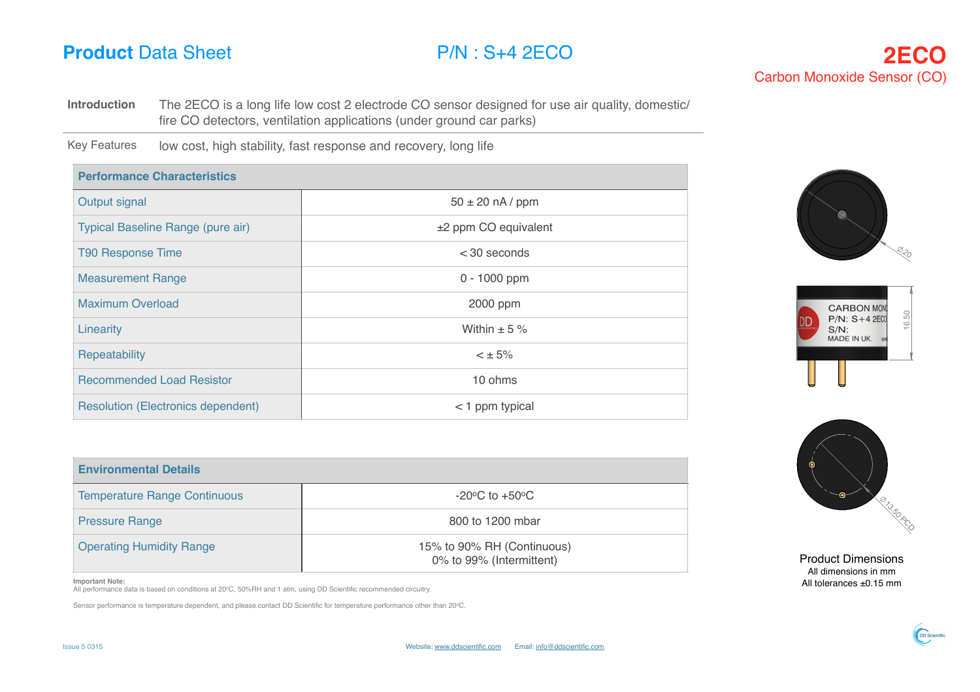**Introduction** The 2ECO is a long life low cost 2 electrode CO sensor designed for use air quality, domestic/ A fire CO detectors, ventilation applications (under ground car parks)

Key Features low cost, high stability, fast response and recovery, long life

| <b>Performance Characteristics</b>        |                        |  |
|-------------------------------------------|------------------------|--|
| Output signal                             | $50 \pm 20$ nA / ppm   |  |
| Typical Baseline Range (pure air)         | $±2$ ppm CO equivalent |  |
| <b>T90 Response Time</b>                  | $<$ 30 seconds         |  |
| <b>Measurement Range</b>                  | $0 - 1000$ ppm         |  |
| <b>Maximum Overload</b>                   | 2000 ppm               |  |
| Linearity                                 | Within $\pm$ 5 %       |  |
| Repeatability                             | $< \pm 5\%$            |  |
| <b>Recommended Load Resistor</b>          | 10 ohms                |  |
| <b>Resolution (Electronics dependent)</b> | $<$ 1 ppm typical      |  |

| <b>Environmental Details</b>        |                                                        |
|-------------------------------------|--------------------------------------------------------|
| <b>Temperature Range Continuous</b> | $-20^{\circ}$ C to $+50^{\circ}$ C                     |
| <b>Pressure Range</b>               | 800 to 1200 mbar                                       |
| <b>Operating Humidity Range</b>     | 15% to 90% RH (Continuous)<br>0% to 99% (Intermittent) |

**Important Note:**

All performance data is based on conditions at 20oC, 50%RH and 1 atm, using DD Scientific recommended circuitry.

Sensor performance is temperature dependent, and please contact DD Scientific for temperature performance other than 20oC.







Product Dimensions All dimensions in mm All tolerances ±0.15 mm

 $S_{\rm eff}$  2EC  $\sim$  4EC  $\sim$ 

DD-Scientific Ltd.